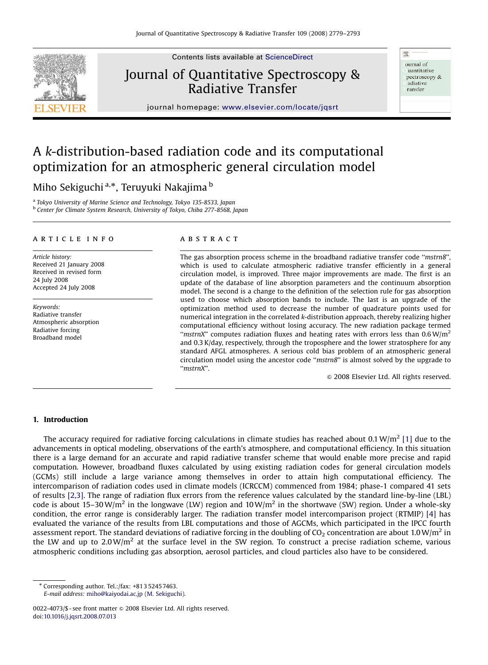

Contents lists available at [ScienceDirect](www.sciencedirect.com/science/journal/jqsrt)

# Journal of Quantitative Spectroscopy & Radiative Transfer

ournal of uantitative pectroscopy & adiative ransfer

壓

journal homepage: <www.elsevier.com/locate/jqsrt>

## A k-distribution-based radiation code and its computational optimization for an atmospheric general circulation model

Miho Sekiguchi<sup>a,</sup>\*, Teruyuki Nakajima <sup>b</sup>

<sup>a</sup> Tokyo University of Marine Science and Technology, Tokyo 135-8533, Japan b Center for Climate System Research, University of Tokyo, Chiba 277-8568, Japan

## article info

Article history: Received 21 January 2008 Received in revised form 24 July 2008 Accepted 24 July 2008

Keywords: Radiative transfer Atmospheric absorption Radiative forcing Broadband model

## **ABSTRACT**

The gas absorption process scheme in the broadband radiative transfer code ''mstrn8'', which is used to calculate atmospheric radiative transfer efficiently in a general circulation model, is improved. Three major improvements are made. The first is an update of the database of line absorption parameters and the continuum absorption model. The second is a change to the definition of the selection rule for gas absorption used to choose which absorption bands to include. The last is an upgrade of the optimization method used to decrease the number of quadrature points used for numerical integration in the correlated k-distribution approach, thereby realizing higher computational efficiency without losing accuracy. The new radiation package termed "mstrnX" computes radiation fluxes and heating rates with errors less than  $0.6 W/m<sup>2</sup>$ and 0.3 K/day, respectively, through the troposphere and the lower stratosphere for any standard AFGL atmospheres. A serious cold bias problem of an atmospheric general circulation model using the ancestor code ''mstrn8'' is almost solved by the upgrade to ''mstrnX''.

 $\odot$  2008 Elsevier Ltd. All rights reserved.

## 1. Introduction

The accuracy required for radiative forcing calculations in climate studies has reached about 0.1 W/m<sup>2</sup> [\[1\]](#page-14-0) due to the advancements in optical modeling, observations of the earth's atmosphere, and computational efficiency. In this situation there is a large demand for an accurate and rapid radiative transfer scheme that would enable more precise and rapid computation. However, broadband fluxes calculated by using existing radiation codes for general circulation models (GCMs) still include a large variance among themselves in order to attain high computational efficiency. The intercomparison of radiation codes used in climate models (ICRCCM) commenced from 1984; phase-1 compared 41 sets of results [\[2,3\]](#page-14-0). The range of radiation flux errors from the reference values calculated by the standard line-by-line (LBL) code is about 15–30 W/m<sup>2</sup> in the longwave (LW) region and 10 W/m<sup>2</sup> in the shortwave (SW) region. Under a whole-sky condition, the error range is considerably larger. The radiation transfer model intercomparison project (RTMIP) [\[4\]](#page-14-0) has evaluated the variance of the results from LBL computations and those of AGCMs, which participated in the IPCC fourth assessment report. The standard deviations of radiative forcing in the doubling of  $CO_2$  concentration are about 1.0 W/m<sup>2</sup> in the LW and up to  $2.0 \text{ W/m}^2$  at the surface level in the SW region. To construct a precise radiation scheme, various atmospheric conditions including gas absorption, aerosol particles, and cloud particles also have to be considered.

- Corresponding author. Tel.:/fax: +813 5245 7463. E-mail address: [miho@kaiyodai.ac.jp \(M. Sekiguchi\).](mailto:miho@kaiyodai.ac.jp)

<sup>0022-4073/\$ -</sup> see front matter  $\circ$  2008 Elsevier Ltd. All rights reserved. doi:[10.1016/j.jqsrt.2008.07.013](dx.doi.org/10.1016/j.jqsrt.2008.07.013)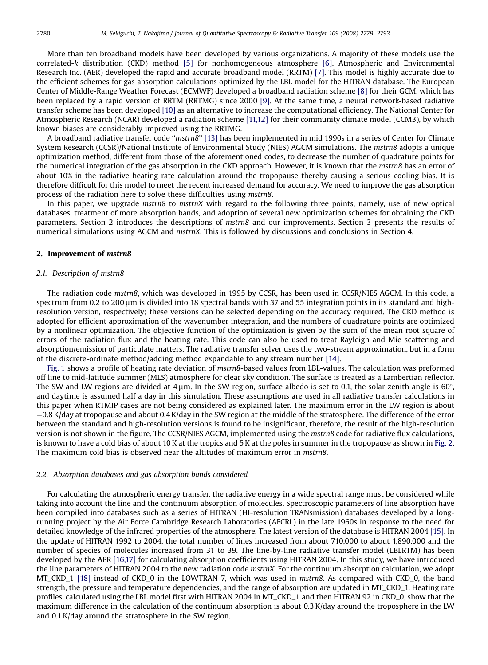More than ten broadband models have been developed by various organizations. A majority of these models use the correlated-k distribution (CKD) method [\[5\]](#page-14-0) for nonhomogeneous atmosphere [\[6\].](#page-14-0) Atmospheric and Environmental Research Inc. (AER) developed the rapid and accurate broadband model (RRTM) [\[7\]](#page-14-0). This model is highly accurate due to the efficient schemes for gas absorption calculations optimized by the LBL model for the HITRAN database. The European Center of Middle-Range Weather Forecast (ECMWF) developed a broadband radiation scheme [\[8\]](#page-14-0) for their GCM, which has been replaced by a rapid version of RRTM (RRTMG) since 2000 [\[9\]](#page-14-0). At the same time, a neural network-based radiative transfer scheme has been developed [\[10\]](#page-14-0) as an alternative to increase the computational efficiency. The National Center for Atmospheric Research (NCAR) developed a radiation scheme [\[11,12\]](#page-14-0) for their community climate model (CCM3), by which known biases are considerably improved using the RRTMG.

A broadband radiative transfer code ''mstrn8'' [\[13\]](#page-14-0) has been implemented in mid 1990s in a series of Center for Climate System Research (CCSR)/National Institute of Environmental Study (NIES) AGCM simulations. The mstrn8 adopts a unique optimization method, different from those of the aforementioned codes, to decrease the number of quadrature points for the numerical integration of the gas absorption in the CKD approach. However, it is known that the mstrn8 has an error of about 10% in the radiative heating rate calculation around the tropopause thereby causing a serious cooling bias. It is therefore difficult for this model to meet the recent increased demand for accuracy. We need to improve the gas absorption process of the radiation here to solve these difficulties using mstrn8.

In this paper, we upgrade *mstrn8* to mstrnX with regard to the following three points, namely, use of new optical databases, treatment of more absorption bands, and adoption of several new optimization schemes for obtaining the CKD parameters. Section 2 introduces the descriptions of mstrn8 and our improvements. Section 3 presents the results of numerical simulations using AGCM and mstrnX. This is followed by discussions and conclusions in Section 4.

## 2. Improvement of mstrn8

## 2.1. Description of mstrn8

The radiation code mstrn8, which was developed in 1995 by CCSR, has been used in CCSR/NIES AGCM. In this code, a spectrum from 0.2 to 200 µm is divided into 18 spectral bands with 37 and 55 integration points in its standard and highresolution version, respectively; these versions can be selected depending on the accuracy required. The CKD method is adopted for efficient approximation of the wavenumber integration, and the numbers of quadrature points are optimized by a nonlinear optimization. The objective function of the optimization is given by the sum of the mean root square of errors of the radiation flux and the heating rate. This code can also be used to treat Rayleigh and Mie scattering and absorption/emission of particulate matters. The radiative transfer solver uses the two-stream approximation, but in a form of the discrete-ordinate method/adding method expandable to any stream number [\[14\].](#page-14-0)

[Fig. 1](#page-2-0) shows a profile of heating rate deviation of mstrn8-based values from LBL-values. The calculation was preformed off line to mid-latitude summer (MLS) atmosphere for clear sky condition. The surface is treated as a Lambertian reflector. The SW and LW regions are divided at 4  $\mu$ m. In the SW region, surface albedo is set to 0.1, the solar zenith angle is 60°, and daytime is assumed half a day in this simulation. These assumptions are used in all radiative transfer calculations in this paper when RTMIP cases are not being considered as explained later. The maximum error in the LW region is about -0.8 K/day at tropopause and about 0.4 K/day in the SW region at the middle of the stratosphere. The difference of the error between the standard and high-resolution versions is found to be insignificant, therefore, the result of the high-resolution version is not shown in the figure. The CCSR/NIES AGCM, implemented using the mstrn8 code for radiative flux calculations, is known to have a cold bias of about 10 K at the tropics and 5 K at the poles in summer in the tropopause as shown in [Fig. 2](#page-3-0). The maximum cold bias is observed near the altitudes of maximum error in mstrn8.

## 2.2. Absorption databases and gas absorption bands considered

For calculating the atmospheric energy transfer, the radiative energy in a wide spectral range must be considered while taking into account the line and the continuum absorption of molecules. Spectroscopic parameters of line absorption have been compiled into databases such as a series of HITRAN (HI-resolution TRANsmission) databases developed by a longrunning project by the Air Force Cambridge Research Laboratories (AFCRL) in the late 1960s in response to the need for detailed knowledge of the infrared properties of the atmosphere. The latest version of the database is HITRAN 2004 [\[15\]](#page-14-0). In the update of HITRAN 1992 to 2004, the total number of lines increased from about 710,000 to about 1,890,000 and the number of species of molecules increased from 31 to 39. The line-by-line radiative transfer model (LBLRTM) has been developed by the AER [\[16,17\]](#page-14-0) for calculating absorption coefficients using HITRAN 2004. In this study, we have introduced the line parameters of HITRAN 2004 to the new radiation code mstrnX. For the continuum absorption calculation, we adopt MT\_CKD\_1 [\[18\]](#page-14-0) instead of CKD\_0 in the LOWTRAN 7, which was used in mstrn8. As compared with CKD\_0, the band strength, the pressure and temperature dependencies, and the range of absorption are updated in MT\_CKD\_1. Heating rate profiles, calculated using the LBL model first with HITRAN 2004 in MT\_CKD\_1 and then HITRAN 92 in CKD\_0, show that the maximum difference in the calculation of the continuum absorption is about 0.3 K/day around the troposphere in the LW and 0.1 K/day around the stratosphere in the SW region.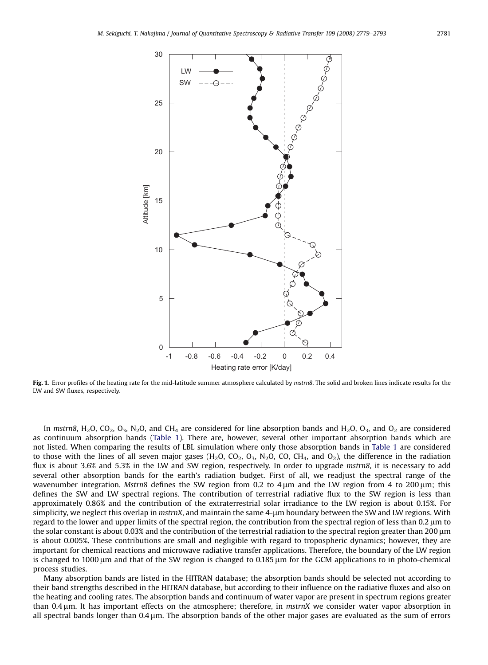<span id="page-2-0"></span>

Fig. 1. Error profiles of the heating rate for the mid-latitude summer atmosphere calculated by mstrn8. The solid and broken lines indicate results for the LW and SW fluxes, respectively.

In mstrn8, H<sub>2</sub>O, CO<sub>2</sub>, O<sub>3</sub>, N<sub>2</sub>O, and CH<sub>4</sub> are considered for line absorption bands and H<sub>2</sub>O, O<sub>3</sub>, and O<sub>2</sub> are considered as continuum absorption bands ([Table 1](#page-3-0)). There are, however, several other important absorption bands which are not listed. When comparing the results of LBL simulation where only those absorption bands in [Table 1](#page-3-0) are considered to those with the lines of all seven major gases ( $H_2O$ ,  $CO_2$ ,  $O_3$ ,  $N_2O$ ,  $CO$ ,  $CH_4$ , and  $O_2$ ), the difference in the radiation flux is about 3.6% and 5.3% in the LW and SW region, respectively. In order to upgrade mstrn8, it is necessary to add several other absorption bands for the earth's radiation budget. First of all, we readjust the spectral range of the wavenumber integration. Mstrn8 defines the SW region from 0.2 to  $4 \mu m$  and the LW region from 4 to 200 $\mu$ m; this defines the SW and LW spectral regions. The contribution of terrestrial radiative flux to the SW region is less than approximately 0.86% and the contribution of the extraterrestrial solar irradiance to the LW region is about 0.15%. For simplicity, we neglect this overlap in mstrnX, and maintain the same 4-µm boundary between the SW and LW regions. With regard to the lower and upper limits of the spectral region, the contribution from the spectral region of less than 0.2  $\mu$ m to the solar constant is about  $0.03\%$  and the contribution of the terrestrial radiation to the spectral region greater than  $200 \mu m$ is about 0.005%. These contributions are small and negligible with regard to tropospheric dynamics; however, they are important for chemical reactions and microwave radiative transfer applications. Therefore, the boundary of the LW region is changed to  $1000 \mu m$  and that of the SW region is changed to  $0.185 \mu m$  for the GCM applications to in photo-chemical process studies.

Many absorption bands are listed in the HITRAN database; the absorption bands should be selected not according to their band strengths described in the HITRAN database, but according to their influence on the radiative fluxes and also on the heating and cooling rates. The absorption bands and continuum of water vapor are present in spectrum regions greater than 0.4  $\mu$ m. It has important effects on the atmosphere; therefore, in mstrnX we consider water vapor absorption in all spectral bands longer than  $0.4 \mu m$ . The absorption bands of the other major gases are evaluated as the sum of errors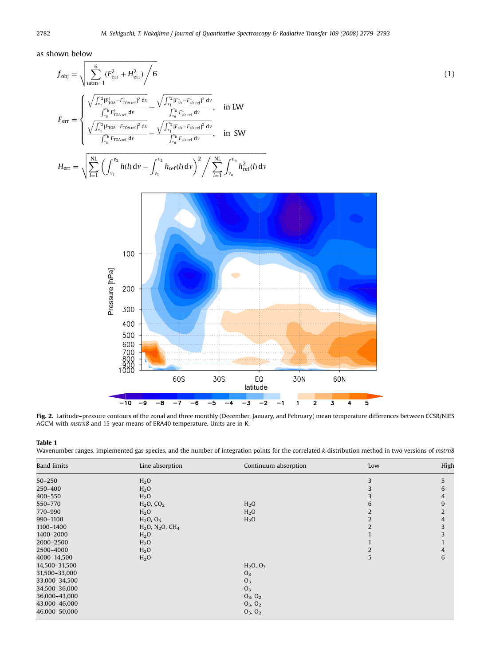<span id="page-3-0"></span>as shown below

$$
f_{\text{obj}} = \sqrt{\sum_{i\text{atm}=1}^{6} (F_{\text{err}}^{2} + H_{\text{err}}^{2}) / 6}
$$
\n
$$
F_{\text{err}} = \begin{cases}\n\frac{\sqrt{\int_{v_{1}}^{v_{2}} [F_{\text{TOA}}^{2} - F_{\text{TOA} \text{ref}}^{1}]}^{2} dv}}{\int_{v_{0}}^{v_{b}} F_{\text{TOA} \text{ref}}^{1} dv} + \frac{\sqrt{\int_{v_{1}}^{v_{2}} [F_{\text{st}}^{4} - F_{\text{st} \text{ref}}^{1}]}^{2} dv}}{\int_{v_{0}}^{v_{b}} F_{\text{fCOA} \text{ref}}^{1} dv} + \frac{\int_{v_{1}}^{v_{2}} [F_{\text{st} \text{ref}}^{1} dv}{\int_{v_{0}}^{v_{b}} F_{\text{st} \text{ref}}^{1} dv}}, \quad \text{in LW} \\
\frac{\sqrt{\int_{v_{1}}^{v_{2}} [F_{\text{TOA} \text{ref}}^{1} dv}}{\int_{v_{0}}^{v_{b}} F_{\text{TOA} \text{ref}}^{1} dv} + \frac{\sqrt{\int_{v_{1}}^{v_{2}} [F_{\text{st} \text{ref}}^{1} dv}}{\int_{v_{0}}^{v_{b}} F_{\text{st} \text{ref}}^{1} dv}}, \quad \text{in SW}\n\end{cases}
$$
\n(1)

$$
H_{\text{err}} = \sqrt{\sum_{l=1}^{NL} \left( \int_{\nu_1}^{\nu_2} h(l) dv - \int_{\nu_1}^{\nu_2} h_{\text{ref}}(l) dv \right)^2} / \sum_{l=1}^{NL} \int_{\nu_a}^{\nu_b} h_{\text{ref}}^2(l) dv
$$



Fig. 2. Latitude-pressure contours of the zonal and three monthly (December, January, and February) mean temperature differences between CCSR/NIES AGCM with mstrn8 and 15-year means of ERA40 temperature. Units are in K.

## Table 1

Wavenumber ranges, implemented gas species, and the number of integration points for the correlated k-distribution method in two versions of mstrn8

| <b>Band limits</b> | Line absorption          | Continuum absorption | Low | High           |
|--------------------|--------------------------|----------------------|-----|----------------|
| $50 - 250$         | H <sub>2</sub> O         |                      | 3   | 5              |
| 250-400            | H <sub>2</sub> O         |                      |     | 6              |
| 400-550            | H <sub>2</sub> O         |                      |     | 4              |
| 550-770            | $H_2O, CO_2$             | H <sub>2</sub> O     |     | 9              |
| 770-990            | H <sub>2</sub> O         | H <sub>2</sub> O     |     | $\overline{2}$ |
| 990-1100           | $H_2O, O_3$              | H <sub>2</sub> O     |     | 4              |
| 1100-1400          | $H_2O$ , $N_2O$ , $CH_4$ |                      |     | 3              |
| 1400-2000          | H <sub>2</sub> O         |                      |     | 3              |
| 2000-2500          | H <sub>2</sub> O         |                      |     |                |
| 2500-4000          | H <sub>2</sub> O         |                      |     | 4              |
| 4000-14,500        | H <sub>2</sub> O         |                      | 5   | 6              |
| 14,500-31,500      |                          | $H_2O, O_3$          |     |                |
| 31,500-33,000      |                          | O <sub>3</sub>       |     |                |
| 33,000-34,500      |                          | O <sub>3</sub>       |     |                |
| 34,500-36,000      |                          | O <sub>3</sub>       |     |                |
| 36,000-43,000      |                          | $O_3$ , $O_2$        |     |                |
| 43,000-46,000      |                          | $O_3$ , $O_2$        |     |                |
| 46,000-50,000      |                          | $O_3$ , $O_2$        |     |                |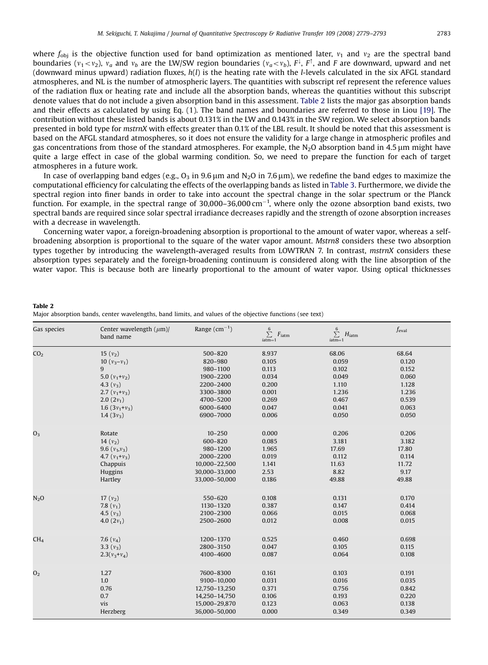where  $f_{\text{obj}}$  is the objective function used for band optimization as mentioned later,  $v_1$  and  $v_2$  are the spectral band boundaries ( $v_1 {<} v_2$ ),  $v_a$  and  $v_b$  are the LW/SW region boundaries ( $v_a {<} v_b$ ),  $F^\downarrow$ ,  $F^\uparrow$ , and  $F$  are downward, upward and net (downward minus upward) radiation fluxes,  $h(l)$  is the heating rate with the *l*-levels calculated in the six AFGL standard atmospheres, and NL is the number of atmospheric layers. The quantities with subscript ref represent the reference values of the radiation flux or heating rate and include all the absorption bands, whereas the quantities without this subscript denote values that do not include a given absorption band in this assessment. Table 2 lists the major gas absorption bands and their effects as calculated by using Eq. (1). The band names and boundaries are referred to those in Liou [\[19\].](#page-14-0) The contribution without these listed bands is about 0.131% in the LW and 0.143% in the SW region. We select absorption bands presented in bold type for mstrnX with effects greater than 0.1% of the LBL result. It should be noted that this assessment is based on the AFGL standard atmospheres, so it does not ensure the validity for a large change in atmospheric profiles and gas concentrations from those of the standard atmospheres. For example, the N<sub>2</sub>O absorption band in 4.5  $\mu$ m might have quite a large effect in case of the global warming condition. So, we need to prepare the function for each of target atmospheres in a future work.

In case of overlapping band edges (e.g.,  $O_3$  in 9.6 µm and N<sub>2</sub>O in 7.6 µm), we redefine the band edges to maximize the computational efficiency for calculating the effects of the overlapping bands as listed in [Table 3.](#page-5-0) Furthermore, we divide the spectral region into finer bands in order to take into account the spectral change in the solar spectrum or the Planck function. For example, in the spectral range of  $30,000-36,000 \text{ cm}^{-1}$ , where only the ozone absorption band exists, two spectral bands are required since solar spectral irradiance decreases rapidly and the strength of ozone absorption increases with a decrease in wavelength.

Concerning water vapor, a foreign-broadening absorption is proportional to the amount of water vapor, whereas a selfbroadening absorption is proportional to the square of the water vapor amount. Mstrn8 considers these two absorption types together by introducing the wavelength-averaged results from LOWTRAN 7. In contrast, mstrnX considers these absorption types separately and the foreign-broadening continuum is considered along with the line absorption of the water vapor. This is because both are linearly proportional to the amount of water vapor. Using optical thicknesses

| Table 2                                                                                                   |  |  |  |
|-----------------------------------------------------------------------------------------------------------|--|--|--|
| Major absorption bands, center wavelengths, band limits, and values of the objective functions (see text) |  |  |  |

| Gas species      | Center wavelength $(\mu m)$ /<br>band name | Range $(cm^{-1})$ | $\sum_{ }^{ 6}$<br>$F_{\text{iatm}}$<br>$iatm=1$ | $\sum_{ }^{ 6}$<br>$H_{\text{iatm}}$<br>$iatm=1$ | $f_{\rm eval}$ |
|------------------|--------------------------------------------|-------------------|--------------------------------------------------|--------------------------------------------------|----------------|
| CO <sub>2</sub>  | 15 $(v_2)$                                 | 500-820           | 8.937                                            | 68.06                                            | 68.64          |
|                  | 10 $(v_3 - v_1)$                           | 820-980           | 0.105                                            | 0.059                                            | 0.120          |
|                  | 9                                          | 980-1100          | 0.113                                            | 0.102                                            | 0.152          |
|                  | 5.0 $(v_1 + v_2)$                          | 1900-2200         | 0.034                                            | 0.049                                            | 0.060          |
|                  | 4.3 $(v_3)$                                | 2200-2400         | 0.200                                            | 1.110                                            | 1.128          |
|                  | 2.7 $(v_1+v_3)$                            | 3300-3800         | 0.001                                            | 1.236                                            | 1.236          |
|                  | $2.0(2v_1)$                                | 4700-5200         | 0.269                                            | 0.467                                            | 0.539          |
|                  | 1.6 $(3v_1+v_3)$                           | 6000-6400         | 0.047                                            | 0.041                                            | 0.063          |
|                  | 1.4 $(3v_3)$                               | 6900-7000         | 0.006                                            | 0.050                                            | 0.050          |
| O <sub>3</sub>   | Rotate                                     | $10 - 250$        | 0.000                                            | 0.206                                            | 0.206          |
|                  | 14 $(v_2)$                                 | 600-820           | 0.085                                            | 3.181                                            | 3.182          |
|                  | 9.6 $(v_1, v_3)$                           | 980-1200          | 1.965                                            | 17.69                                            | 17.80          |
|                  | 4.7 $(v_1 + v_3)$                          | 2000-2200         | 0.019                                            | 0.112                                            | 0.114          |
|                  | Chappuis                                   | 10,000-22,500     | 1.141                                            | 11.63                                            | 11.72          |
|                  | Huggins                                    | 30,000-33,000     | 2.53                                             | 8.82                                             | 9.17           |
|                  | Hartley                                    | 33,000-50,000     | 0.186                                            | 49.88                                            | 49.88          |
| N <sub>2</sub> O | 17 $(v_2)$                                 | 550-620           | 0.108                                            | 0.131                                            | 0.170          |
|                  | 7.8 $(v_1)$                                | 1130-1320         | 0.387                                            | 0.147                                            | 0.414          |
|                  | 4.5 $(v_3)$                                | 2100-2300         | 0.066                                            | 0.015                                            | 0.068          |
|                  | 4.0 $(2v_1)$                               | 2500-2600         | 0.012                                            | 0.008                                            | 0.015          |
| CH <sub>4</sub>  | 7.6 $(v_4)$                                | 1200-1370         | 0.525                                            | 0.460                                            | 0.698          |
|                  | 3.3 $(v_3)$                                | 2800-3150         | 0.047                                            | 0.105                                            | 0.115          |
|                  | $2.3(v_3+v_4)$                             | 4100-4600         | 0.087                                            | 0.064                                            | 0.108          |
| O <sub>2</sub>   | 1.27                                       | 7600-8300         | 0.161                                            | 0.103                                            | 0.191          |
|                  | 1.0                                        | 9100-10,000       | 0.031                                            | 0.016                                            | 0.035          |
|                  | 0.76                                       | 12,750-13,250     | 0.371                                            | 0.756                                            | 0.842          |
|                  | 0.7                                        | 14,250-14,750     | 0.106                                            | 0.193                                            | 0.220          |
|                  | vis                                        | 15,000-29,870     | 0.123                                            | 0.063                                            | 0.138          |
|                  | Herzberg                                   | 36,000-50,000     | 0.000                                            | 0.349                                            | 0.349          |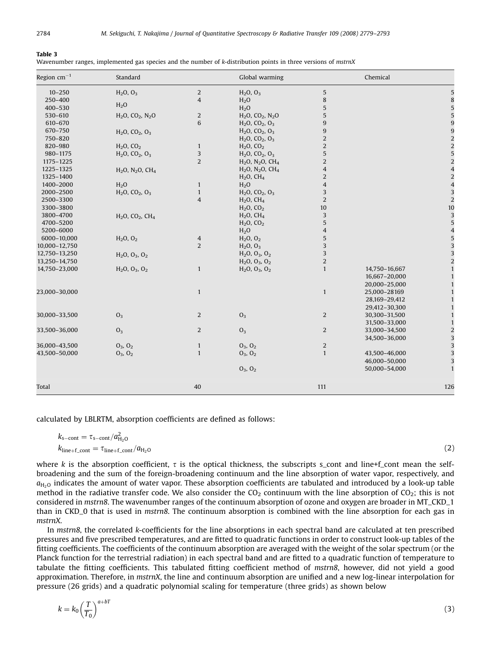#### <span id="page-5-0"></span>Table 3

| Wavenumber ranges, implemented gas species and the number of k-distribution points in three versions of mstrnX |  |  |  |  |
|----------------------------------------------------------------------------------------------------------------|--|--|--|--|
|                                                                                                                |  |  |  |  |

| Region $cm^{-1}$ | Standard                                             |                | Global warming                                       |                | Chemical      |                         |
|------------------|------------------------------------------------------|----------------|------------------------------------------------------|----------------|---------------|-------------------------|
| $10 - 250$       | $H_2O, O_3$                                          | 2              | $H_2O, O_3$                                          | $\sqrt{5}$     |               |                         |
| 250-400          |                                                      | $\overline{4}$ | H <sub>2</sub> O                                     | 8              |               | ε                       |
| 400-530          | H <sub>2</sub> O                                     |                | H <sub>2</sub> O                                     | 5              |               |                         |
| 530-610          | H <sub>2</sub> O, CO <sub>2</sub> , N <sub>2</sub> O | 2              | H <sub>2</sub> O, CO <sub>2</sub> , N <sub>2</sub> O | $\mathbf 5$    |               |                         |
| 610-670          |                                                      | 6              | $H_2O$ , $CO_2$ , $O_3$                              | $\overline{9}$ |               |                         |
| 670-750          | $H_2O$ , $CO_2$ , $O_3$                              |                | $H_2O$ , $CO_2$ , $O_3$                              | $\overline{9}$ |               | c                       |
| 750-820          |                                                      |                | $H_2O$ , $CO_2$ , $O_3$                              | $\overline{2}$ |               |                         |
| 820-980          | $H_2O, CO_2$                                         | $\mathbf{1}$   | $H_2O, CO_2$                                         | $\overline{c}$ |               |                         |
| 980-1175         | $H_2O$ , $CO_2$ , $O_3$                              | 3              | $H_2O$ , $CO_2$ , $O_3$                              | $\sqrt{5}$     |               |                         |
| 1175-1225        |                                                      | $\overline{c}$ | H <sub>2</sub> O, N <sub>2</sub> O, CH <sub>4</sub>  | $\overline{2}$ |               | 2                       |
| 1225-1325        | $H_2O$ , $N_2O$ , $CH_4$                             |                | $H_2O, N_2O, CH_4$                                   | $\overline{4}$ |               |                         |
| 1325-1400        |                                                      |                | $H2O$ , CH <sub>4</sub>                              | $\overline{2}$ |               |                         |
| 1400-2000        | H <sub>2</sub> O                                     | $\mathbf{1}$   | H <sub>2</sub> O                                     | $\overline{4}$ |               |                         |
| 2000-2500        | $H_2O$ , $CO_2$ , $O_3$                              | $\mathbf{1}$   | $H_2O$ , $CO_2$ , $O_3$                              | 3              |               | د، د                    |
| 2500-3300        |                                                      | $\overline{4}$ | $H2O$ , CH <sub>4</sub>                              | $\overline{2}$ |               |                         |
| 3300-3800        |                                                      |                | $H_2O, CO_2$                                         | $10\,$         |               | 10                      |
| 3800-4700        | $H_2O$ , $CO_2$ , $CH_4$                             |                | $H2O$ , CH <sub>4</sub>                              | 3              |               | ς σ                     |
| 4700-5200        |                                                      |                | $H_2O, CO_2$                                         | 5              |               |                         |
| 5200-6000        |                                                      |                | H <sub>2</sub> O                                     | $\overline{4}$ |               |                         |
| 6000-10,000      | $H_2O, O_2$                                          | $\overline{4}$ | $H_2O, O_2$                                          | $\sqrt{5}$     |               | $\omega$ $\omega$ $\pi$ |
| 10,000-12,750    |                                                      | 2              | $H_2O, O_3$                                          | 3              |               |                         |
| 12,750-13,250    | $H_2O, O_3, O_2$                                     |                | $H_2O, O_3, O_2$                                     | 3              |               |                         |
| 13,250-14,750    |                                                      |                | $H_2O, O_3, O_2$                                     | $\overline{2}$ |               | $\overline{a}$          |
| 14,750-23,000    | $H_2O, O_3, O_2$                                     | $\mathbf{1}$   | $H_2O, O_3, O_2$                                     | $\mathbf{1}$   | 14,750-16,667 |                         |
|                  |                                                      |                |                                                      |                | 16,667-20,000 | $\mathbf{1}$            |
|                  |                                                      |                |                                                      |                | 20,000-25,000 | 1                       |
| 23,000-30,000    |                                                      | $\mathbf{1}$   |                                                      | $\mathbf{1}$   | 25,000-28169  | $\mathbf{1}$            |
|                  |                                                      |                |                                                      |                | 28,169-29,412 | $\mathbf{1}$            |
|                  |                                                      |                |                                                      |                | 29,412-30,300 | $\overline{1}$          |
| 30,000-33,500    | O <sub>3</sub>                                       | 2              | O <sub>3</sub>                                       | $\overline{2}$ | 30,300-31,500 | $\mathbf{1}$            |
|                  |                                                      |                |                                                      |                | 31,500-33,000 | $\mathbf{1}$            |
| 33,500-36,000    | O <sub>3</sub>                                       | 2              | O <sub>3</sub>                                       | $\overline{2}$ | 33,000-34,500 |                         |
|                  |                                                      |                |                                                      |                | 34,500-36,000 | دى دى                   |
| 36,000-43,500    | $O_3$ , $O_2$                                        | $\mathbf{1}$   | $O_3$ , $O_2$                                        | $\overline{c}$ |               |                         |
| 43,500-50,000    | $O_3$ , $O_2$                                        | $\mathbf{1}$   | $O_3$ , $O_2$                                        | $\mathbf{1}$   | 43,500-46,000 | 3                       |
|                  |                                                      |                |                                                      |                | 46,000-50,000 | 3                       |
|                  |                                                      |                | $O_3$ , $O_2$                                        |                | 50,000-54,000 | $\mathbf{1}$            |
| Total            |                                                      | 40             |                                                      | 111            |               | 126                     |

calculated by LBLRTM, absorption coefficients are defined as follows:

$$
k_{\text{s-cont}} = \tau_{\text{s-cont}}/a_{\text{H}_2\text{O}}^2
$$
  
\n
$$
k_{\text{line+f\_cont}} = \tau_{\text{line+f\_cont}}/a_{\text{H}_2\text{O}}
$$
 (2)

where k is the absorption coefficient,  $\tau$  is the optical thickness, the subscripts s\_cont and line+f\_cont mean the selfbroadening and the sum of the foreign-broadening continuum and the line absorption of water vapor, respectively, and  $a<sub>H<sub>2</sub></sub>$  indicates the amount of water vapor. These absorption coefficients are tabulated and introduced by a look-up table method in the radiative transfer code. We also consider the  $CO<sub>2</sub>$  continuum with the line absorption of  $CO<sub>2</sub>$ ; this is not considered in mstrn8. The wavenumber ranges of the continuum absorption of ozone and oxygen are broader in MT\_CKD\_1 than in CKD\_0 that is used in mstrn8. The continuum absorption is combined with the line absorption for each gas in mstrnX.

In mstrn8, the correlated k-coefficients for the line absorptions in each spectral band are calculated at ten prescribed pressures and five prescribed temperatures, and are fitted to quadratic functions in order to construct look-up tables of the fitting coefficients. The coefficients of the continuum absorption are averaged with the weight of the solar spectrum (or the Planck function for the terrestrial radiation) in each spectral band and are fitted to a quadratic function of temperature to tabulate the fitting coefficients. This tabulated fitting coefficient method of mstrn8, however, did not yield a good approximation. Therefore, in mstrnX, the line and continuum absorption are unified and a new log-linear interpolation for pressure (26 grids) and a quadratic polynomial scaling for temperature (three grids) as shown below

$$
k = k_0 \left(\frac{T}{T_0}\right)^{a+bT} \tag{3}
$$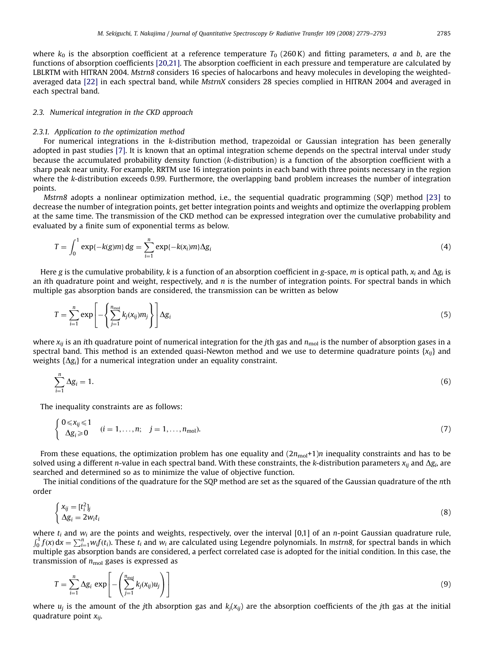where  $k_0$  is the absorption coefficient at a reference temperature  $T_0$  (260K) and fitting parameters, a and b, are the functions of absorption coefficients [\[20,21\].](#page-14-0) The absorption coefficient in each pressure and temperature are calculated by LBLRTM with HITRAN 2004. Mstrn8 considers 16 species of halocarbons and heavy molecules in developing the weightedaveraged data [\[22\]](#page-14-0) in each spectral band, while MstrnX considers 28 species complied in HITRAN 2004 and averaged in each spectral band.

## 2.3. Numerical integration in the CKD approach

#### 2.3.1. Application to the optimization method

For numerical integrations in the k-distribution method, trapezoidal or Gaussian integration has been generally adopted in past studies [\[7\].](#page-14-0) It is known that an optimal integration scheme depends on the spectral interval under study because the accumulated probability density function (k-distribution) is a function of the absorption coefficient with a sharp peak near unity. For example, RRTM use 16 integration points in each band with three points necessary in the region where the k-distribution exceeds 0.99. Furthermore, the overlapping band problem increases the number of integration points.

Mstrn8 adopts a nonlinear optimization method, i.e., the sequential quadratic programming (SQP) method [\[23\]](#page-14-0) to decrease the number of integration points, get better integration points and weights and optimize the overlapping problem at the same time. The transmission of the CKD method can be expressed integration over the cumulative probability and evaluated by a finite sum of exponential terms as below.

$$
T = \int_0^1 \exp\{-k(g)m\} dg = \sum_{i=1}^n \exp\{-k(x_i)m\} \Delta g_i
$$
\n(4)

Here g is the cumulative probability, k is a function of an absorption coefficient in g-space, m is optical path,  $x_i$  and  $\Delta g_i$  is an ith quadrature point and weight, respectively, and n is the number of integration points. For spectral bands in which multiple gas absorption bands are considered, the transmission can be written as below

$$
T = \sum_{i=1}^{n} \exp\left[-\left\{\sum_{j=1}^{n_{\text{mol}}} k_j(x_{ij})m_j\right\}\right] \Delta g_i
$$
\n(5)

where  $x_{ij}$  is an ith quadrature point of numerical integration for the jth gas and  $n_{\text{mol}}$  is the number of absorption gases in a spectral band. This method is an extended quasi-Newton method and we use to determine quadrature points  $\{x_{ii}\}$  and weights  $\{\Delta g_i\}$  for a numerical integration under an equality constraint.

$$
\sum_{i=1}^{n} \Delta g_i = 1. \tag{6}
$$

The inequality constraints are as follows:

$$
\begin{cases} 0 \leq x_{ij} \leq 1 & (i = 1, \ldots, n; \quad j = 1, \ldots, n_{\text{mol}}). \\ \Delta g_i \geq 0 & (7) \end{cases}
$$

From these equations, the optimization problem has one equality and  $(2n_{\text{mol}}+1)n$  inequality constraints and has to be solved using a different *n*-value in each spectral band. With these constraints, the k-distribution parameters  $x_{ij}$  and  $\Delta g_i$ , are searched and determined so as to minimize the value of objective function.

The initial conditions of the quadrature for the SQP method are set as the squared of the Gaussian quadrature of the nth order

$$
\begin{cases} x_{ij} = [t_i^2]_j \\ \Delta g_i = 2w_i t_i \end{cases} \tag{8}
$$

where  $t_i$  and  $w_i$  are the points and weights, respectively, over the interval [0,1] of an n-point Gaussian quadrature rule,  $\int_0^1 f(x) dx = \sum_{i=1}^n w_i f(t_i)$ . These  $t_i$  and  $w_i$  are calculated using Legendre polynomials. In mstrn8, for spectral bands in which multiple gas absorption bands are considered, a perfect correlated case is adopted for the initial condition. In this case, the transmission of  $n_{\text{mol}}$  gases is expressed as

$$
T = \sum_{i=1}^{n} \Delta g_i \, \exp\left[-\left(\sum_{j=1}^{n_{\text{mod}}} k_j(x_{ij})u_j\right)\right]
$$
(9)

where  $u_i$  is the amount of the jth absorption gas and  $k_i(x_{ij})$  are the absorption coefficients of the jth gas at the initial quadrature point  $x_{ij}$ .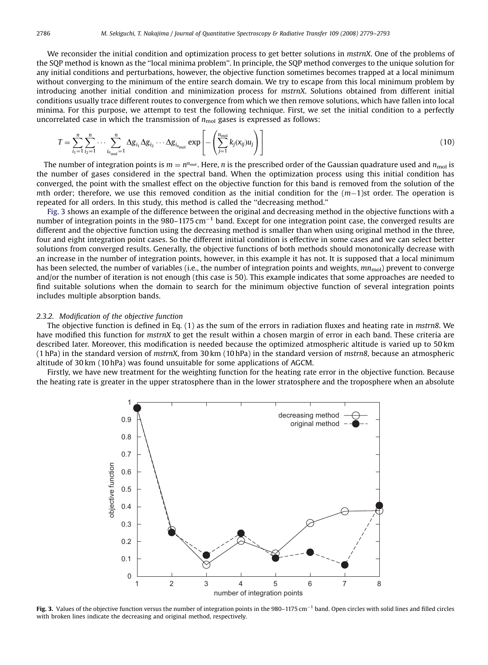We reconsider the initial condition and optimization process to get better solutions in mstrnX. One of the problems of the SQP method is known as the ''local minima problem''. In principle, the SQP method converges to the unique solution for any initial conditions and perturbations, however, the objective function sometimes becomes trapped at a local minimum without converging to the minimum of the entire search domain. We try to escape from this local minimum problem by introducing another initial condition and minimization process for mstrnX. Solutions obtained from different initial conditions usually trace different routes to convergence from which we then remove solutions, which have fallen into local minima. For this purpose, we attempt to test the following technique. First, we set the initial condition to a perfectly uncorrelated case in which the transmission of  $n_{\text{mol}}$  gases is expressed as follows:

$$
T = \sum_{i_1=1}^{n} \sum_{i_2=1}^{n} \cdots \sum_{i_{n_{\text{mol}}} = 1}^{n} \Delta g_{i_1} \Delta g_{i_2} \cdots \Delta g_{i_{n_{\text{mol}}}} \exp \left[ - \left( \sum_{j=1}^{n_{\text{mol}}} k_j (x_{ij}) u_j \right) \right]
$$
(10)

The number of integration points is  $m = n^{\eta_{mol}}$ . Here, n is the prescribed order of the Gaussian quadrature used and  $n_{mol}$  is the number of gases considered in the spectral band. When the optimization process using this initial condition has converged, the point with the smallest effect on the objective function for this band is removed from the solution of the mth order; therefore, we use this removed condition as the initial condition for the  $(m-1)$ st order. The operation is repeated for all orders. In this study, this method is called the ''decreasing method.''

Fig. 3 shows an example of the difference between the original and decreasing method in the objective functions with a number of integration points in the  $980-1175$  cm<sup>-1</sup> band. Except for one integration point case, the converged results are different and the objective function using the decreasing method is smaller than when using original method in the three, four and eight integration point cases. So the different initial condition is effective in some cases and we can select better solutions from converged results. Generally, the objective functions of both methods should monotonically decrease with an increase in the number of integration points, however, in this example it has not. It is supposed that a local minimum has been selected, the number of variables (i.e., the number of integration points and weights,  $mn_{mol}$ ) prevent to converge and/or the number of iteration is not enough (this case is 50). This example indicates that some approaches are needed to find suitable solutions when the domain to search for the minimum objective function of several integration points includes multiple absorption bands.

## 2.3.2. Modification of the objective function

The objective function is defined in Eq. (1) as the sum of the errors in radiation fluxes and heating rate in mstrn8. We have modified this function for mstrnX to get the result within a chosen margin of error in each band. These criteria are described later. Moreover, this modification is needed because the optimized atmospheric altitude is varied up to 50 km (1 hPa) in the standard version of mstrnX, from 30 km (10 hPa) in the standard version of mstrn8, because an atmospheric altitude of 30 km (10 hPa) was found unsuitable for some applications of AGCM.

Firstly, we have new treatment for the weighting function for the heating rate error in the objective function. Because the heating rate is greater in the upper stratosphere than in the lower stratosphere and the troposphere when an absolute



Fig. 3. Values of the objective function versus the number of integration points in the  $980-1175 \text{ cm}^{-1}$  band. Open circles with solid lines and filled circles with broken lines indicate the decreasing and original method, respectively.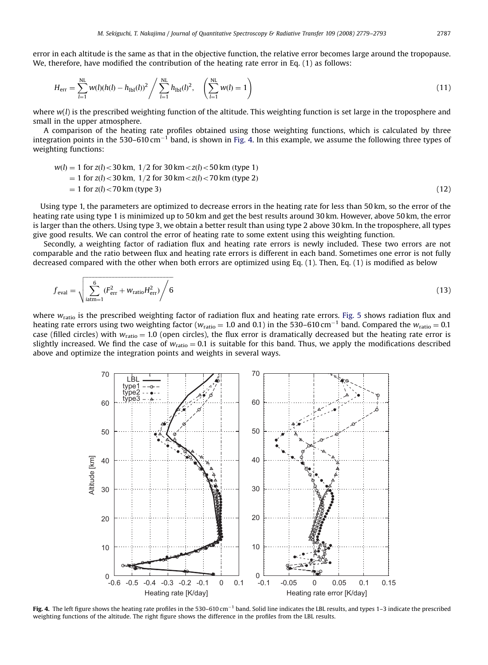error in each altitude is the same as that in the objective function, the relative error becomes large around the tropopause. We, therefore, have modified the contribution of the heating rate error in Eq. (1) as follows:

$$
H_{\text{err}} = \sum_{l=1}^{NL} w(l)(h(l) - h_{\text{lb1}}(l))^2 / \sum_{l=1}^{NL} h_{\text{lb1}}(l)^2, \quad \left(\sum_{l=1}^{NL} w(l) = 1\right)
$$
\n(11)

where  $w(l)$  is the prescribed weighting function of the altitude. This weighting function is set large in the troposphere and small in the upper atmosphere.

A comparison of the heating rate profiles obtained using those weighting functions, which is calculated by three integration points in the 530–610 cm<sup>-1</sup> band, is shown in Fig. 4. In this example, we assume the following three types of weighting functions:

$$
w(l) = 1 \text{ for } z(l) < 30 \text{ km}, \ 1/2 \text{ for } 30 \text{ km} < z(l) < 50 \text{ km (type 1)} \\
= 1 \text{ for } z(l) < 30 \text{ km}, \ 1/2 \text{ for } 30 \text{ km} < z(l) < 70 \text{ km (type 2)} \\
= 1 \text{ for } z(l) < 70 \text{ km (type 3)}\n \tag{12}
$$

Using type 1, the parameters are optimized to decrease errors in the heating rate for less than 50 km, so the error of the heating rate using type 1 is minimized up to 50 km and get the best results around 30 km. However, above 50 km, the error is larger than the others. Using type 3, we obtain a better result than using type 2 above 30 km. In the troposphere, all types give good results. We can control the error of heating rate to some extent using this weighting function.

Secondly, a weighting factor of radiation flux and heating rate errors is newly included. These two errors are not comparable and the ratio between flux and heating rate errors is different in each band. Sometimes one error is not fully decreased compared with the other when both errors are optimized using Eq. (1). Then, Eq. (1) is modified as below

$$
f_{\text{eval}} = \sqrt{\sum_{\text{iatm}=1}^{6} (F_{\text{err}}^2 + w_{\text{ratio}} H_{\text{err}}^2)} / 6
$$
 (13)

where  $w_{\text{ratio}}$  is the prescribed weighting factor of radiation flux and heating rate errors. [Fig. 5](#page-9-0) shows radiation flux and heating rate errors using two weighting factor (w<sub>ratio</sub> = 1.0 and 0.1) in the 530–610 cm<sup>-1</sup> band. Compared the w<sub>ratio</sub> = 0.1 case (filled circles) with  $w_{ratio} = 1.0$  (open circles), the flux error is dramatically decreased but the heating rate error is slightly increased. We find the case of  $w_{ratio} = 0.1$  is suitable for this band. Thus, we apply the modifications described above and optimize the integration points and weights in several ways.



Fig. 4. The left figure shows the heating rate profiles in the 530–610 cm<sup>-1</sup> band. Solid line indicates the LBL results, and types 1-3 indicate the prescribed weighting functions of the altitude. The right figure shows the difference in the profiles from the LBL results.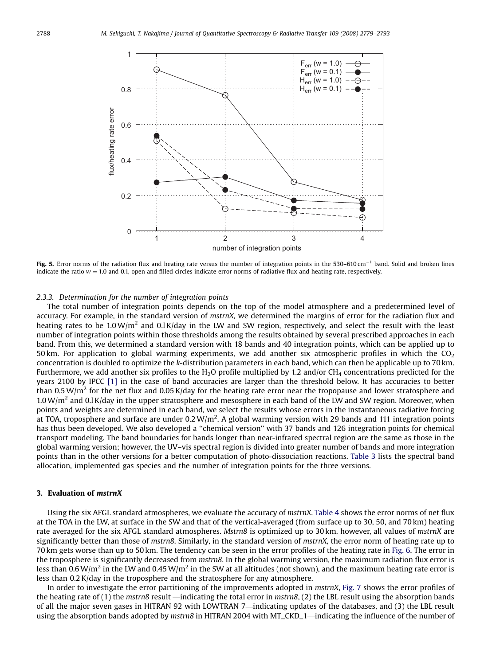<span id="page-9-0"></span>

Fig. 5. Error norms of the radiation flux and heating rate versus the number of integration points in the 530-610 cm<sup>-1</sup> band. Solid and broken lines indicate the ratio  $w = 1.0$  and 0.1, open and filled circles indicate error norms of radiative flux and heating rate, respectively.

## 2.3.3. Determination for the number of integration points

The total number of integration points depends on the top of the model atmosphere and a predetermined level of accuracy. For example, in the standard version of mstrnX, we determined the margins of error for the radiation flux and heating rates to be 1.0W/m<sup>2</sup> and 0.l K/day in the LW and SW region, respectively, and select the result with the least number of integration points within those thresholds among the results obtained by several prescribed approaches in each band. From this, we determined a standard version with 18 bands and 40 integration points, which can be applied up to 50 km. For application to global warming experiments, we add another six atmospheric profiles in which the  $CO<sub>2</sub>$ concentration is doubled to optimize the k-distribution parameters in each band, which can then be applicable up to 70 km. Furthermore, we add another six profiles to the H<sub>2</sub>O profile multiplied by 1.2 and/or CH<sub>4</sub> concentrations predicted for the years 2100 by IPCC [\[1\]](#page-14-0) in the case of band accuracies are larger than the threshold below. It has accuracies to better than 0.5 W/m<sup>2</sup> for the net flux and 0.05 K/day for the heating rate error near the tropopause and lower stratosphere and  $1.0 \text{ W/m}^2$  and 0.l K/day in the upper stratosphere and mesosphere in each band of the LW and SW region. Moreover, when points and weights are determined in each band, we select the results whose errors in the instantaneous radiative forcing at TOA, troposphere and surface are under  $0.2 W/m^2$ . A global warming version with 29 bands and 111 integration points has thus been developed. We also developed a ''chemical version'' with 37 bands and 126 integration points for chemical transport modeling. The band boundaries for bands longer than near-infrared spectral region are the same as those in the global warming version; however, the UV–vis spectral region is divided into greater number of bands and more integration points than in the other versions for a better computation of photo-dissociation reactions. [Table 3](#page-5-0) lists the spectral band allocation, implemented gas species and the number of integration points for the three versions.

## 3. Evaluation of mstrnX

Using the six AFGL standard atmospheres, we evaluate the accuracy of mstrnX. [Table 4](#page-10-0) shows the error norms of net flux at the TOA in the LW, at surface in the SW and that of the vertical-averaged (from surface up to 30, 50, and 70 km) heating rate averaged for the six AFGL standard atmospheres. Mstrn8 is optimized up to 30 km, however, all values of mstrnX are significantly better than those of mstrn8. Similarly, in the standard version of mstrnX, the error norm of heating rate up to 70 km gets worse than up to 50 km. The tendency can be seen in the error profiles of the heating rate in [Fig. 6.](#page-10-0) The error in the troposphere is significantly decreased from mstrn8. In the global warming version, the maximum radiation flux error is less than  $0.6 \text{W/m}^2$  in the LW and  $0.45 \text{W/m}^2$  in the SW at all altitudes (not shown), and the maximum heating rate error is less than  $0.2$  K/day in the troposphere and the stratosphere for any atmosphere.

In order to investigate the error partitioning of the improvements adopted in mstrnX, [Fig. 7](#page-11-0) shows the error profiles of the heating rate of  $(1)$  the mstrn8 result —indicating the total error in mstrn8,  $(2)$  the LBL result using the absorption bands of all the major seven gases in HITRAN 92 with LOWTRAN 7—indicating updates of the databases, and (3) the LBL result using the absorption bands adopted by *mstrn8* in HITRAN 2004 with MT\_CKD\_1—indicating the influence of the number of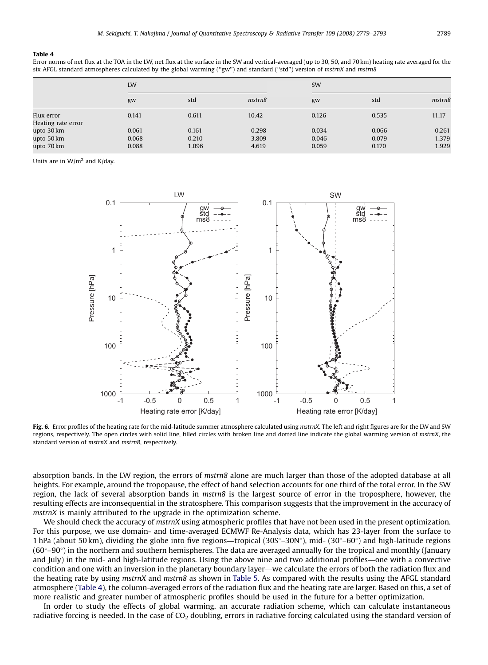#### <span id="page-10-0"></span>Table 4

Error norms of net flux at the TOA in the LW, net flux at the surface in the SW and vertical-averaged (up to 30, 50, and 70 km) heating rate averaged for the six AFGL standard atmospheres calculated by the global warming ("gw") and standard ("std") version of mstrnX and mstrn8

|                    | LW    |       |        | SW    |       |        |  |
|--------------------|-------|-------|--------|-------|-------|--------|--|
|                    | gw    | std   | mstrn8 | gw    | std   | mstrn8 |  |
| Flux error         | 0.141 | 0.611 | 10.42  | 0.126 | 0.535 | 11.17  |  |
| Heating rate error |       |       |        |       |       |        |  |
| upto 30 km         | 0.061 | 0.161 | 0.298  | 0.034 | 0.066 | 0.261  |  |
| upto 50 km         | 0.068 | 0.210 | 3.809  | 0.046 | 0.079 | 1.379  |  |
| upto 70 km         | 0.088 | 1.096 | 4.619  | 0.059 | 0.170 | 1.929  |  |

Units are in  $W/m^2$  and K/day.



Fig. 6. Error profiles of the heating rate for the mid-latitude summer atmosphere calculated using mstrnX. The left and right figures are for the LW and SW regions, respectively. The open circles with solid line, filled circles with broken line and dotted line indicate the global warming version of mstrnX, the standard version of mstrnX and mstrn8, respectively.

absorption bands. In the LW region, the errors of mstrn8 alone are much larger than those of the adopted database at all heights. For example, around the tropopause, the effect of band selection accounts for one third of the total error. In the SW region, the lack of several absorption bands in mstrn8 is the largest source of error in the troposphere, however, the resulting effects are inconsequential in the stratosphere. This comparison suggests that the improvement in the accuracy of mstrnX is mainly attributed to the upgrade in the optimization scheme.

We should check the accuracy of mstrnX using atmospheric profiles that have not been used in the present optimization. For this purpose, we use domain- and time-averaged ECMWF Re-Analysis data, which has 23-layer from the surface to 1 hPa (about 50 km), dividing the globe into five regions—tropical (30S°–30N°), mid- (30°–60°) and high-latitude regions  $(60^\circ-90^\circ)$  in the northern and southern hemispheres. The data are averaged annually for the tropical and monthly (January and July) in the mid- and high-latitude regions. Using the above nine and two additional profiles—one with a convective condition and one with an inversion in the planetary boundary layer—we calculate the errors of both the radiation flux and the heating rate by using mstrnX and mstrn8 as shown in [Table 5.](#page-11-0) As compared with the results using the AFGL standard atmosphere (Table 4), the column-averaged errors of the radiation flux and the heating rate are larger. Based on this, a set of more realistic and greater number of atmospheric profiles should be used in the future for a better optimization.

In order to study the effects of global warming, an accurate radiation scheme, which can calculate instantaneous radiative forcing is needed. In the case of  $CO<sub>2</sub>$  doubling, errors in radiative forcing calculated using the standard version of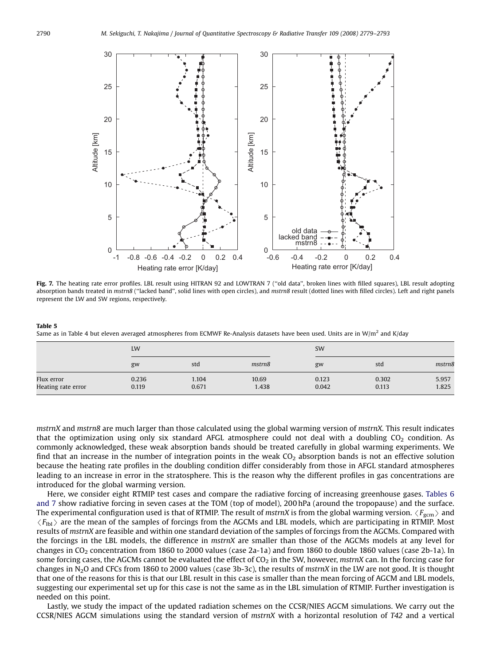<span id="page-11-0"></span>

Fig. 7. The heating rate error profiles. LBL result using HITRAN 92 and LOWTRAN 7 ("old data", broken lines with filled squares), LBL result adopting absorption bands treated in mstrn8 ("lacked band", solid lines with open circles), and mstrn8 result (dotted lines with filled circles). Left and right panels represent the LW and SW regions, respectively.

Table 5 Same as in [Table 4](#page-10-0) but eleven averaged atmospheres from ECMWF Re-Analysis datasets have been used. Units are in W/m<sup>2</sup> and K/day

|                                  | LW             |                |                | SW             |                |                |
|----------------------------------|----------------|----------------|----------------|----------------|----------------|----------------|
|                                  | gw             | std            | mstrn8         | gw             | std            | mstrn8         |
| Flux error<br>Heating rate error | 0.236<br>0.119 | 1.104<br>0.671 | 10.69<br>1.438 | 0.123<br>0.042 | 0.302<br>0.113 | 5.957<br>1.825 |

mstrnX and mstrn8 are much larger than those calculated using the global warming version of mstrnX. This result indicates that the optimization using only six standard AFGL atmosphere could not deal with a doubling  $CO<sub>2</sub>$  condition. As commonly acknowledged, these weak absorption bands should be treated carefully in global warming experiments. We find that an increase in the number of integration points in the weak  $CO<sub>2</sub>$  absorption bands is not an effective solution because the heating rate profiles in the doubling condition differ considerably from those in AFGL standard atmospheres leading to an increase in error in the stratosphere. This is the reason why the different profiles in gas concentrations are introduced for the global warming version.

Here, we consider eight RTMIP test cases and compare the radiative forcing of increasing greenhouse gases. [Tables 6](#page-12-0) [and 7](#page-12-0) show radiative forcing in seven cases at the TOM (top of model), 200 hPa (around the tropopause) and the surface. The experimental configuration used is that of RTMIP. The result of mstrnX is from the global warming version.  $\langle F_{\text{ecm}} \rangle$  and  $\langle F_{\text{lib}}\rangle$  are the mean of the samples of forcings from the AGCMs and LBL models, which are participating in RTMIP. Most results of mstrnX are feasible and within one standard deviation of the samples of forcings from the AGCMs. Compared with the forcings in the LBL models, the difference in mstrnX are smaller than those of the AGCMs models at any level for changes in  $CO_2$  concentration from 1860 to 2000 values (case 2a-1a) and from 1860 to double 1860 values (case 2b-1a). In some forcing cases, the AGCMs cannot be evaluated the effect of  $CO<sub>2</sub>$  in the SW, however, mstrnX can. In the forcing case for changes in N<sub>2</sub>O and CFCs from 1860 to 2000 values (case 3b-3c), the results of mstrnX in the LW are not good. It is thought that one of the reasons for this is that our LBL result in this case is smaller than the mean forcing of AGCM and LBL models, suggesting our experimental set up for this case is not the same as in the LBL simulation of RTMIP. Further investigation is needed on this point.

Lastly, we study the impact of the updated radiation schemes on the CCSR/NIES AGCM simulations. We carry out the CCSR/NIES AGCM simulations using the standard version of mstrnX with a horizontal resolution of T42 and a vertical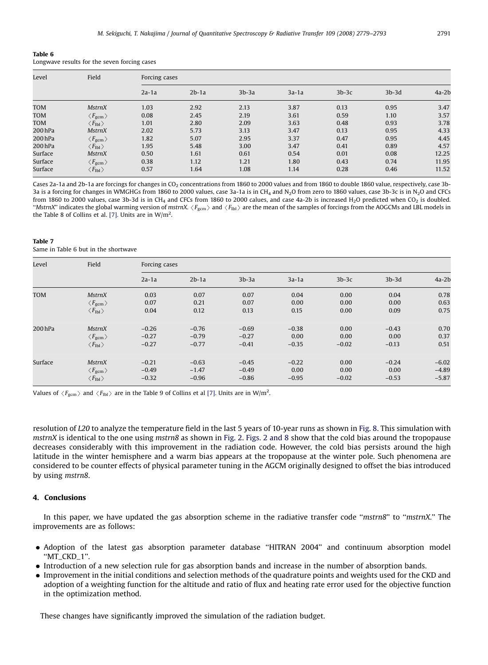<span id="page-12-0"></span>

| Table 6                                      |  |
|----------------------------------------------|--|
| Longwave results for the seven forcing cases |  |

| Level      | Field                         | Forcing cases |         |         |         |         |         |         |
|------------|-------------------------------|---------------|---------|---------|---------|---------|---------|---------|
|            |                               | $2a-1a$       | $2b-1a$ | $3b-3a$ | $3a-1a$ | $3b-3c$ | $3b-3d$ | $4a-2b$ |
| <b>TOM</b> | <b>MstrnX</b>                 | 1.03          | 2.92    | 2.13    | 3.87    | 0.13    | 0.95    | 3.47    |
| <b>TOM</b> | $\langle F_{\rm gcm} \rangle$ | 0.08          | 2.45    | 2.19    | 3.61    | 0.59    | 1.10    | 3.57    |
| TOM        | $\langle F_{\rm lb1} \rangle$ | 1.01          | 2.80    | 2.09    | 3.63    | 0.48    | 0.93    | 3.78    |
| 200 hPa    | <b>MstrnX</b>                 | 2.02          | 5.73    | 3.13    | 3.47    | 0.13    | 0.95    | 4.33    |
| 200 hPa    | $\langle F_{\rm gcm} \rangle$ | 1.82          | 5.07    | 2.95    | 3.37    | 0.47    | 0.95    | 4.45    |
| 200 hPa    | $\langle F_{\rm lb1} \rangle$ | 1.95          | 5.48    | 3.00    | 3.47    | 0.41    | 0.89    | 4.57    |
| Surface    | <b>MstrnX</b>                 | 0.50          | 1.61    | 0.61    | 0.54    | 0.01    | 0.08    | 12.25   |
| Surface    | $\langle F_{\rm gcm} \rangle$ | 0.38          | 1.12    | 1.21    | 1.80    | 0.43    | 0.74    | 11.95   |
| Surface    | $\langle F_{\rm lb1} \rangle$ | 0.57          | 1.64    | 1.08    | 1.14    | 0.28    | 0.46    | 11.52   |

Cases 2a-1a and 2b-1a are forcings for changes in CO<sub>2</sub> concentrations from 1860 to 2000 values and from 1860 to double 1860 value, respectively, case 3b-3a is a forcing for changes in WMGHGs from 1860 to 2000 values, case 3a-1a is in CH<sub>4</sub> and N<sub>2</sub>O from zero to 1860 values, case 3b-3c is in N<sub>2</sub>O and CFCs from 1860 to 2000 values, case 3b-3d is in CH<sub>4</sub> and CFCs from 1860 to 2000 calues, and case 4a-2b is increased H<sub>2</sub>O predicted when CO<sub>2</sub> is doubled. "MstrnX" indicates the global warming version of mstrnX.  $\langle F_{\rm gcm} \rangle$  and  $\langle F_{\rm lab} \rangle$  are the mean of the samples of forcings from the AOGCMs and LBL models in the Table 8 of Collins et al. [\[7\].](#page-14-0) Units are in  $W/m^2$ .

#### Table 7

Same in Table 6 but in the shortwave

| Level      | Field                            | Forcing cases |         |         |         |         |         |         |
|------------|----------------------------------|---------------|---------|---------|---------|---------|---------|---------|
|            |                                  | $2a-1a$       | $2b-1a$ | $3b-3a$ | $3a-1a$ | $3b-3c$ | $3b-3d$ | $4a-2b$ |
| <b>TOM</b> | <b>MstrnX</b>                    | 0.03          | 0.07    | 0.07    | 0.04    | 0.00    | 0.04    | 0.78    |
|            | $\langle F_{\rm gcm} \rangle$    | 0.07          | 0.21    | 0.07    | 0.00    | 0.00    | 0.00    | 0.63    |
|            | $\langle F_{\rm lb1} \rangle$    | 0.04          | 0.12    | 0.13    | 0.15    | 0.00    | 0.09    | 0.75    |
| 200 hPa    | <b>MstrnX</b>                    | $-0.26$       | $-0.76$ | $-0.69$ | $-0.38$ | 0.00    | $-0.43$ | 0.70    |
|            | $\langle F_{\text{gcm}} \rangle$ | $-0.27$       | $-0.79$ | $-0.27$ | 0.00    | 0.00    | 0.00    | 0.37    |
|            | $\langle F_{\rm lb1} \rangle$    | $-0.27$       | $-0.77$ | $-0.41$ | $-0.35$ | $-0.02$ | $-0.13$ | 0.51    |
| Surface    | <b>MstrnX</b>                    | $-0.21$       | $-0.63$ | $-0.45$ | $-0.22$ | 0.00    | $-0.24$ | $-6.02$ |
|            | $\langle F_{\text{gcm}} \rangle$ | $-0.49$       | $-1.47$ | $-0.49$ | 0.00    | 0.00    | 0.00    | $-4.89$ |
|            | $\langle F_{\rm lb1} \rangle$    | $-0.32$       | $-0.96$ | $-0.86$ | $-0.95$ | $-0.02$ | $-0.53$ | $-5.87$ |

Values of  $\langle F_{\text{gem}} \rangle$  and  $\langle F_{\text{lb}} \rangle$  are in the Table 9 of Collins et al [\[7\]](#page-14-0). Units are in W/m<sup>2</sup>.

resolution of L20 to analyze the temperature field in the last 5 years of 10-year runs as shown in [Fig. 8.](#page-13-0) This simulation with mstrnX is identical to the one using mstrn8 as shown in [Fig. 2](#page-3-0). [Figs. 2 and 8](#page-3-0) show that the cold bias around the tropopause decreases considerably with this improvement in the radiation code. However, the cold bias persists around the high latitude in the winter hemisphere and a warm bias appears at the tropopause at the winter pole. Such phenomena are considered to be counter effects of physical parameter tuning in the AGCM originally designed to offset the bias introduced by using mstrn8.

## 4. Conclusions

In this paper, we have updated the gas absorption scheme in the radiative transfer code "mstrn8" to "mstrnX." The improvements are as follows:

- Adoption of the latest gas absorption parameter database ''HITRAN 2004'' and continuum absorption model ''MT\_CKD\_1''.
- Introduction of a new selection rule for gas absorption bands and increase in the number of absorption bands.
- Improvement in the initial conditions and selection methods of the quadrature points and weights used for the CKD and adoption of a weighting function for the altitude and ratio of flux and heating rate error used for the objective function in the optimization method.

These changes have significantly improved the simulation of the radiation budget.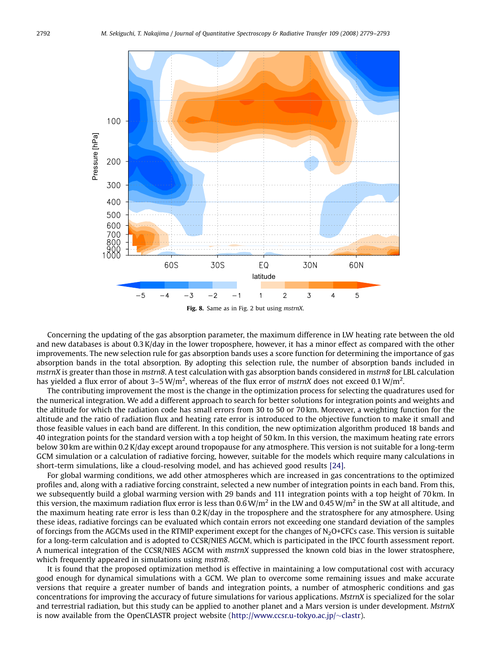<span id="page-13-0"></span>

Fig. 8. Same as in [Fig. 2](#page-3-0) but using *mstrnX*.

Concerning the updating of the gas absorption parameter, the maximum difference in LW heating rate between the old and new databases is about 0.3 K/day in the lower troposphere, however, it has a minor effect as compared with the other improvements. The new selection rule for gas absorption bands uses a score function for determining the importance of gas absorption bands in the total absorption. By adopting this selection rule, the number of absorption bands included in mstrnX is greater than those in mstrn8. A test calculation with gas absorption bands considered in mstrn8 for LBL calculation has yielded a flux error of about 3–5 W/m<sup>2</sup>, whereas of the flux error of mstrnX does not exceed 0.1 W/m<sup>2</sup>.

The contributing improvement the most is the change in the optimization process for selecting the quadratures used for the numerical integration. We add a different approach to search for better solutions for integration points and weights and the altitude for which the radiation code has small errors from 30 to 50 or 70 km. Moreover, a weighting function for the altitude and the ratio of radiation flux and heating rate error is introduced to the objective function to make it small and those feasible values in each band are different. In this condition, the new optimization algorithm produced 18 bands and 40 integration points for the standard version with a top height of 50 km. In this version, the maximum heating rate errors below 30 km are within 0.2 K/day except around tropopause for any atmosphere. This version is not suitable for a long-term GCM simulation or a calculation of radiative forcing, however, suitable for the models which require many calculations in short-term simulations, like a cloud-resolving model, and has achieved good results [\[24\].](#page-14-0)

For global warming conditions, we add other atmospheres which are increased in gas concentrations to the optimized profiles and, along with a radiative forcing constraint, selected a new number of integration points in each band. From this, we subsequently build a global warming version with 29 bands and 111 integration points with a top height of 70 km. In this version, the maximum radiation flux error is less than 0.6 W/m<sup>2</sup> in the LW and 0.45 W/m<sup>2</sup> in the SW at all altitude, and the maximum heating rate error is less than 0.2 K/day in the troposphere and the stratosphere for any atmosphere. Using these ideas, radiative forcings can be evaluated which contain errors not exceeding one standard deviation of the samples of forcings from the AGCMs used in the RTMIP experiment except for the changes of  $N<sub>2</sub>O+CFCs$  case. This version is suitable for a long-term calculation and is adopted to CCSR/NIES AGCM, which is participated in the IPCC fourth assessment report. A numerical integration of the CCSR/NIES AGCM with mstrnX suppressed the known cold bias in the lower stratosphere, which frequently appeared in simulations using mstrn8.

It is found that the proposed optimization method is effective in maintaining a low computational cost with accuracy good enough for dynamical simulations with a GCM. We plan to overcome some remaining issues and make accurate versions that require a greater number of bands and integration points, a number of atmospheric conditions and gas concentrations for improving the accuracy of future simulations for various applications. MstrnX is specialized for the solar and terrestrial radiation, but this study can be applied to another planet and a Mars version is under development. MstrnX is now available from the OpenCLASTR project website [\(http://www.ccsr.u-tokyo.ac.jp/](http://www.ccsr.u-tokyo.ac.jp/~clastr) $\sim$ [clastr](http://www.ccsr.u-tokyo.ac.jp/~clastr)).